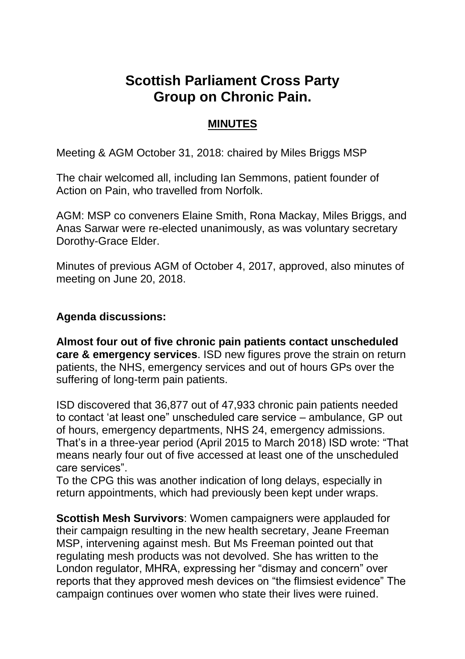## **Scottish Parliament Cross Party Group on Chronic Pain.**

## **MINUTES**

Meeting & AGM October 31, 2018: chaired by Miles Briggs MSP

The chair welcomed all, including Ian Semmons, patient founder of Action on Pain, who travelled from Norfolk.

AGM: MSP co conveners Elaine Smith, Rona Mackay, Miles Briggs, and Anas Sarwar were re-elected unanimously, as was voluntary secretary Dorothy-Grace Elder.

Minutes of previous AGM of October 4, 2017, approved, also minutes of meeting on June 20, 2018.

## **Agenda discussions:**

**Almost four out of five chronic pain patients contact unscheduled care & emergency services**. ISD new figures prove the strain on return patients, the NHS, emergency services and out of hours GPs over the suffering of long-term pain patients.

ISD discovered that 36,877 out of 47,933 chronic pain patients needed to contact 'at least one" unscheduled care service – ambulance, GP out of hours, emergency departments, NHS 24, emergency admissions. That's in a three-year period (April 2015 to March 2018) ISD wrote: "That means nearly four out of five accessed at least one of the unscheduled care services".

To the CPG this was another indication of long delays, especially in return appointments, which had previously been kept under wraps.

**Scottish Mesh Survivors**: Women campaigners were applauded for their campaign resulting in the new health secretary, Jeane Freeman MSP, intervening against mesh. But Ms Freeman pointed out that regulating mesh products was not devolved. She has written to the London regulator, MHRA, expressing her "dismay and concern" over reports that they approved mesh devices on "the flimsiest evidence" The campaign continues over women who state their lives were ruined.